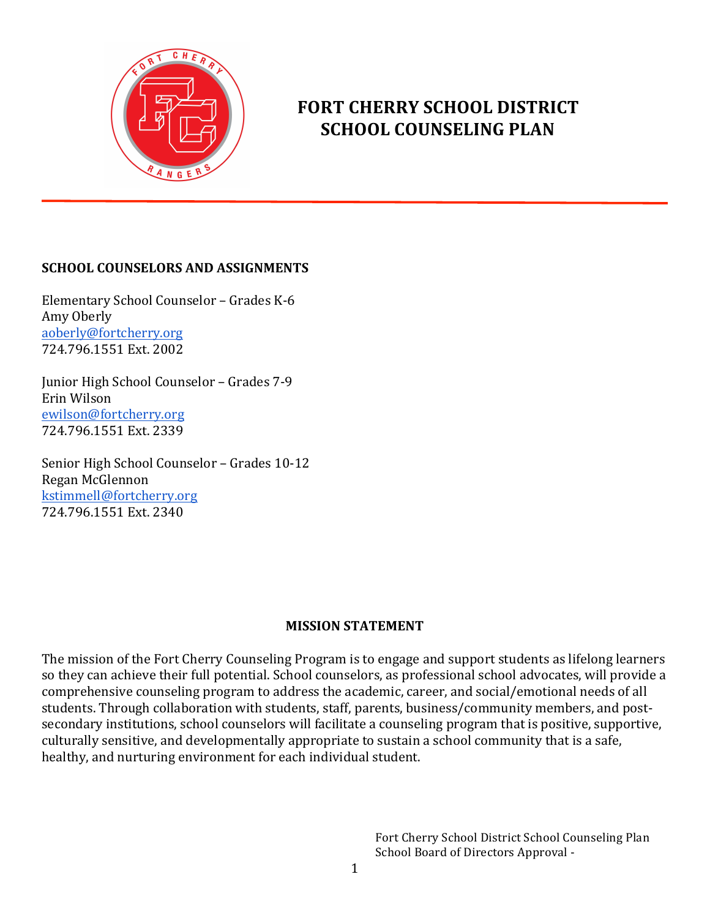

# **FORT CHERRY SCHOOL DISTRICT SCHOOL COUNSELING PLAN**

### **SCHOOL COUNSELORS AND ASSIGNMENTS**

Elementary School Counselor - Grades K-6 Amy Oberly aoberly@fortcherry.org 724.796.1551 Ext. 2002

Junior High School Counselor – Grades 7-9 Erin Wilson ewilson@fortcherry.org 724.796.1551 Ext. 2339

Senior High School Counselor - Grades 10-12 Regan McGlennon kstimmell@fortcherry.org 724.796.1551 Ext. 2340

### **MISSION STATEMENT**

The mission of the Fort Cherry Counseling Program is to engage and support students as lifelong learners so they can achieve their full potential. School counselors, as professional school advocates, will provide a comprehensive counseling program to address the academic, career, and social/emotional needs of all students. Through collaboration with students, staff, parents, business/community members, and postsecondary institutions, school counselors will facilitate a counseling program that is positive, supportive, culturally sensitive, and developmentally appropriate to sustain a school community that is a safe, healthy, and nurturing environment for each individual student.

> Fort Cherry School District School Counseling Plan School Board of Directors Approval -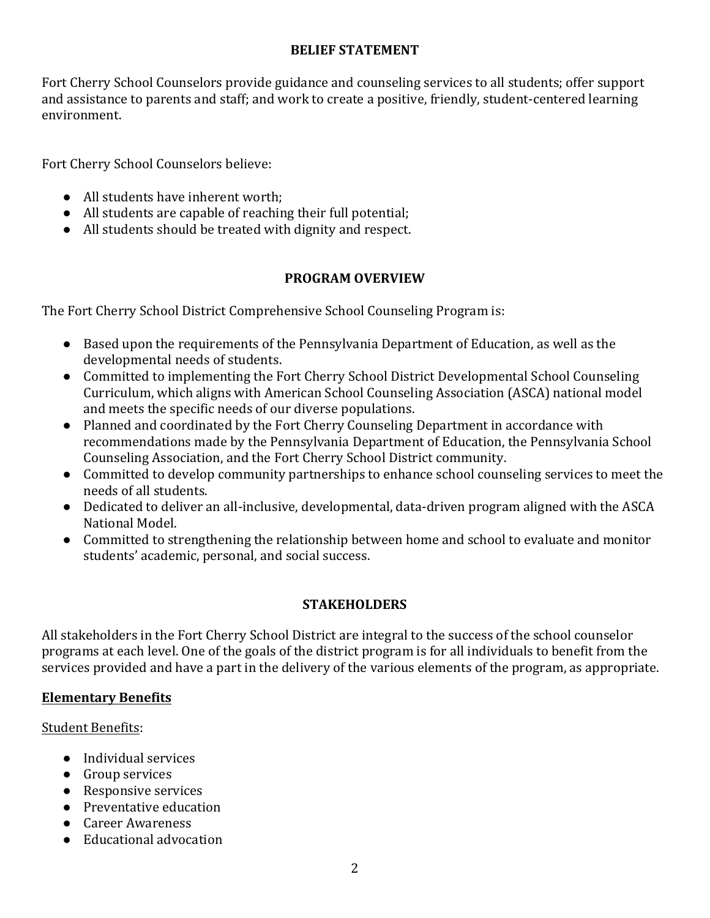### **BELIEF STATEMENT**

Fort Cherry School Counselors provide guidance and counseling services to all students; offer support and assistance to parents and staff; and work to create a positive, friendly, student-centered learning environment.

Fort Cherry School Counselors believe:

- All students have inherent worth;
- All students are capable of reaching their full potential;
- All students should be treated with dignity and respect.

### **PROGRAM OVERVIEW**

The Fort Cherry School District Comprehensive School Counseling Program is:

- Based upon the requirements of the Pennsylvania Department of Education, as well as the developmental needs of students.
- Committed to implementing the Fort Cherry School District Developmental School Counseling Curriculum, which aligns with American School Counseling Association (ASCA) national model and meets the specific needs of our diverse populations.
- Planned and coordinated by the Fort Cherry Counseling Department in accordance with recommendations made by the Pennsylvania Department of Education, the Pennsylvania School Counseling Association, and the Fort Cherry School District community.
- Committed to develop community partnerships to enhance school counseling services to meet the needs of all students.
- Dedicated to deliver an all-inclusive, developmental, data-driven program aligned with the ASCA National Model.
- Committed to strengthening the relationship between home and school to evaluate and monitor students' academic, personal, and social success.

### **STAKEHOLDERS**

All stakeholders in the Fort Cherry School District are integral to the success of the school counselor programs at each level. One of the goals of the district program is for all individuals to benefit from the services provided and have a part in the delivery of the various elements of the program, as appropriate.

### **Elementary Benefits**

Student Benefits:

- Individual services
- Group services
- Responsive services
- Preventative education
- Career Awareness
- Educational advocation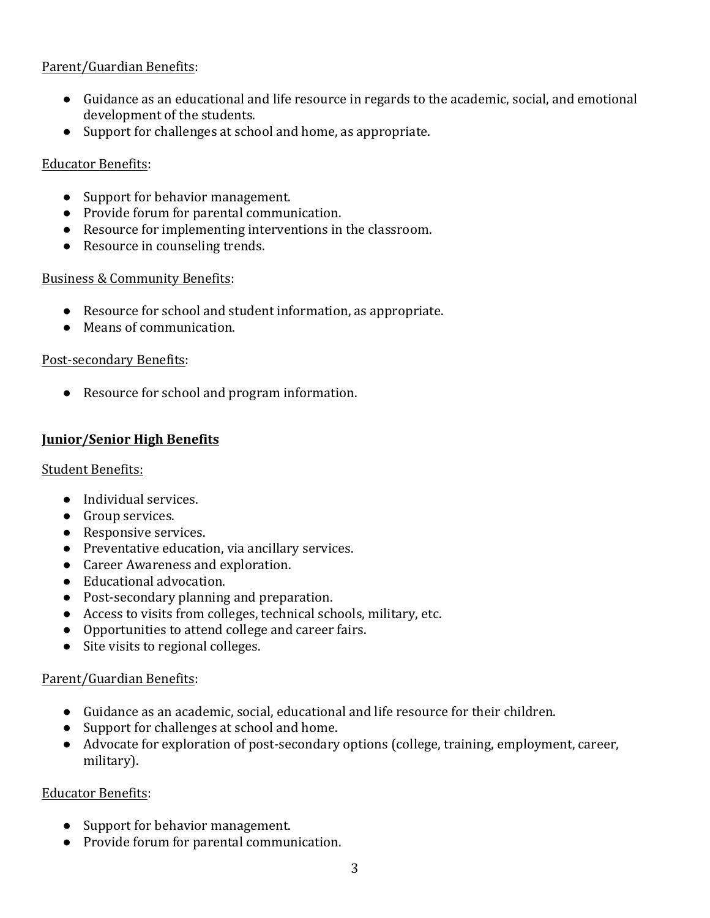### Parent/Guardian Benefits:

- $\bullet$  Guidance as an educational and life resource in regards to the academic, social, and emotional development of the students.
- $\bullet$  Support for challenges at school and home, as appropriate.

### Educator Benefits:

- Support for behavior management.
- Provide forum for parental communication.
- Resource for implementing interventions in the classroom.
- Resource in counseling trends.

### Business & Community Benefits:

- Resource for school and student information, as appropriate.
- Means of communication.

### Post-secondary Benefits:

• Resource for school and program information.

### **Junior/Senior High Benefits**

### **Student Benefits:**

- Individual services.
- **•** Group services.
- Responsive services.
- Preventative education, via ancillary services.
- Career Awareness and exploration.
- Educational advocation.
- Post-secondary planning and preparation.
- $\bullet$  Access to visits from colleges, technical schools, military, etc.
- Opportunities to attend college and career fairs.
- Site visits to regional colleges.

### Parent/Guardian Benefits:

- Guidance as an academic, social, educational and life resource for their children.
- Support for challenges at school and home.
- Advocate for exploration of post-secondary options (college, training, employment, career, military).

### Educator Benefits:

- Support for behavior management.
- Provide forum for parental communication.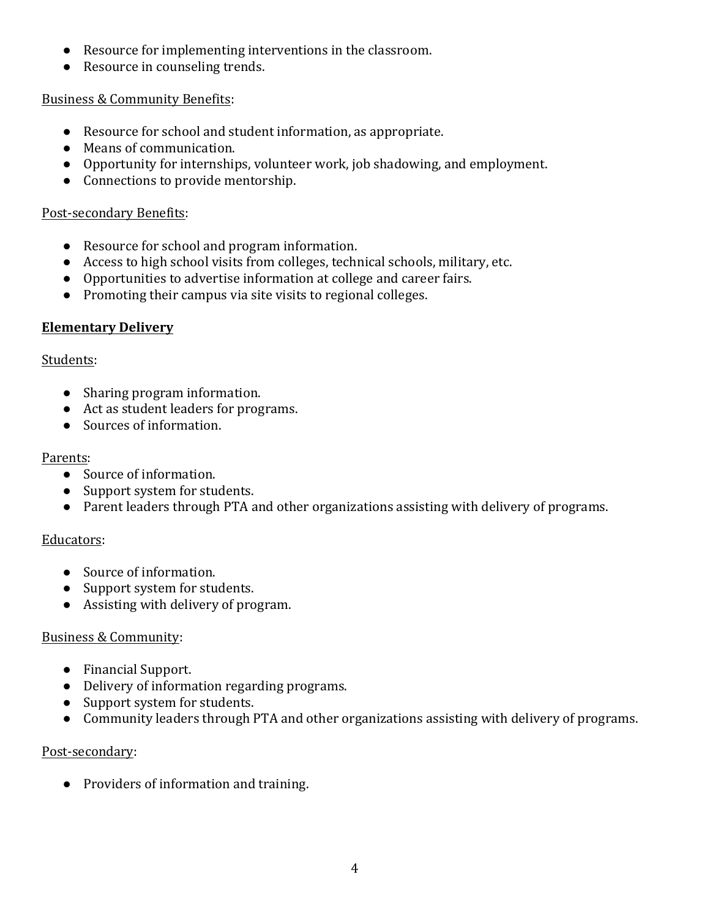- Resource for implementing interventions in the classroom.
- Resource in counseling trends.

### Business & Community Benefits:

- Resource for school and student information, as appropriate.
- Means of communication.
- Opportunity for internships, volunteer work, job shadowing, and employment.
- Connections to provide mentorship.

#### Post-secondary Benefits:

- Resource for school and program information.
- $\bullet$  Access to high school visits from colleges, technical schools, military, etc.
- Opportunities to advertise information at college and career fairs.
- $\bullet$  Promoting their campus via site visits to regional colleges.

### **Elementary Delivery**

### Students:

- Sharing program information.
- Act as student leaders for programs.
- Sources of information.

### Parents:

- Source of information.
- Support system for students.
- Parent leaders through PTA and other organizations assisting with delivery of programs.

### Educators:

- Source of information.
- Support system for students.
- Assisting with delivery of program.

### Business & Community:

- Financial Support.
- Delivery of information regarding programs.
- Support system for students.
- Community leaders through PTA and other organizations assisting with delivery of programs.

### Post-secondary:

• Providers of information and training.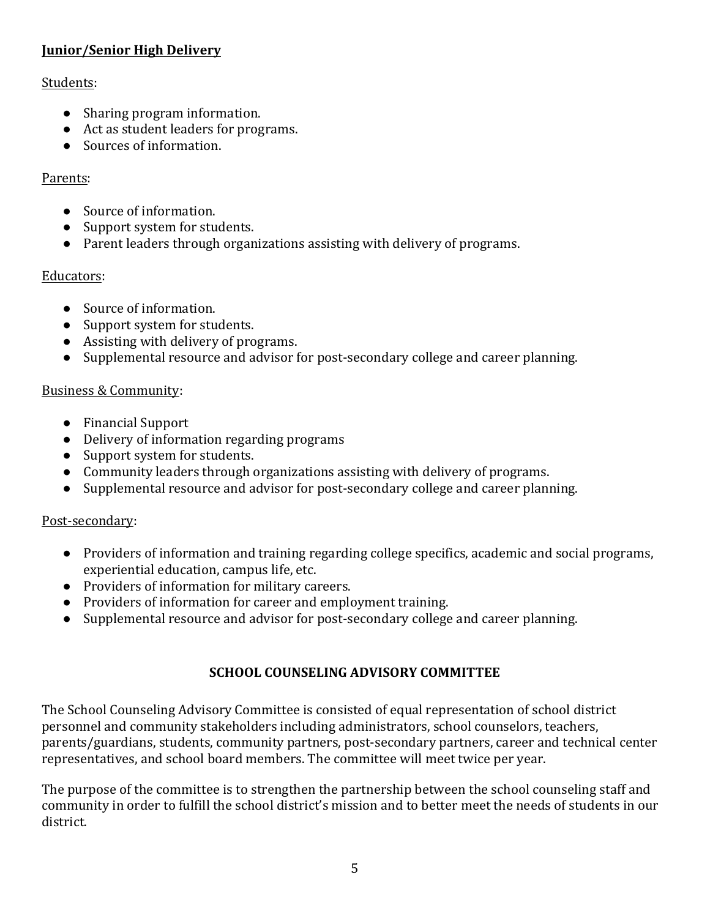# **Junior/Senior High Delivery**

### Students:

- Sharing program information.
- Act as student leaders for programs.
- Sources of information.

# Parents:

- Source of information.
- Support system for students.
- Parent leaders through organizations assisting with delivery of programs.

# Educators:

- Source of information.
- Support system for students.
- Assisting with delivery of programs.
- Supplemental resource and advisor for post-secondary college and career planning.

# Business & Community:

- Financial Support
- Delivery of information regarding programs
- Support system for students.
- Community leaders through organizations assisting with delivery of programs.
- Supplemental resource and advisor for post-secondary college and career planning.

# Post-secondary:

- Providers of information and training regarding college specifics, academic and social programs, experiential education, campus life, etc.
- Providers of information for military careers.
- Providers of information for career and employment training.
- Supplemental resource and advisor for post-secondary college and career planning.

# **SCHOOL COUNSELING ADVISORY COMMITTEE**

The School Counseling Advisory Committee is consisted of equal representation of school district personnel and community stakeholders including administrators, school counselors, teachers, parents/guardians, students, community partners, post-secondary partners, career and technical center representatives, and school board members. The committee will meet twice per year.

The purpose of the committee is to strengthen the partnership between the school counseling staff and community in order to fulfill the school district's mission and to better meet the needs of students in our district.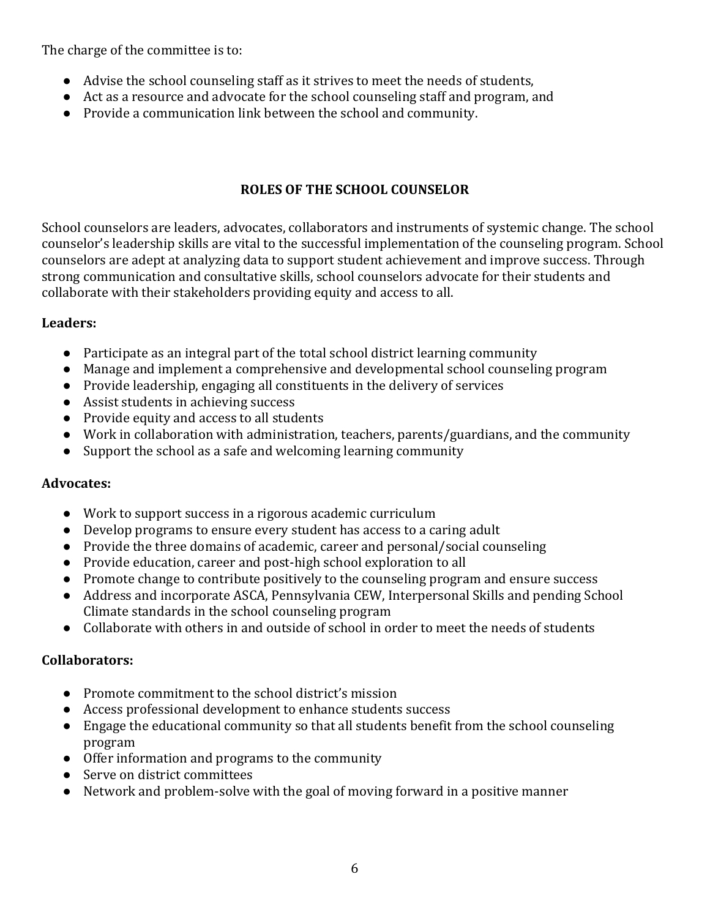The charge of the committee is to:

- Advise the school counseling staff as it strives to meet the needs of students,
- $\bullet$  Act as a resource and advocate for the school counseling staff and program, and
- Provide a communication link between the school and community.

### **ROLES OF THE SCHOOL COUNSELOR**

School counselors are leaders, advocates, collaborators and instruments of systemic change. The school counselor's leadership skills are vital to the successful implementation of the counseling program. School counselors are adept at analyzing data to support student achievement and improve success. Through strong communication and consultative skills, school counselors advocate for their students and collaborate with their stakeholders providing equity and access to all.

### **Leaders:**

- $\bullet$  Participate as an integral part of the total school district learning community
- Manage and implement a comprehensive and developmental school counseling program
- $\bullet$  Provide leadership, engaging all constituents in the delivery of services
- Assist students in achieving success
- Provide equity and access to all students
- Work in collaboration with administration, teachers, parents/guardians, and the community
- $\bullet$  Support the school as a safe and welcoming learning community

### **Advocates:**

- Work to support success in a rigorous academic curriculum
- Develop programs to ensure every student has access to a caring adult
- Provide the three domains of academic, career and personal/social counseling
- Provide education, career and post-high school exploration to all
- Promote change to contribute positively to the counseling program and ensure success
- Address and incorporate ASCA, Pennsylvania CEW, Interpersonal Skills and pending School Climate standards in the school counseling program
- Collaborate with others in and outside of school in order to meet the needs of students

### **Collaborators:**

- Promote commitment to the school district's mission
- Access professional development to enhance students success
- Engage the educational community so that all students benefit from the school counseling program
- $\bullet$  Offer information and programs to the community
- Serve on district committees
- Network and problem-solve with the goal of moving forward in a positive manner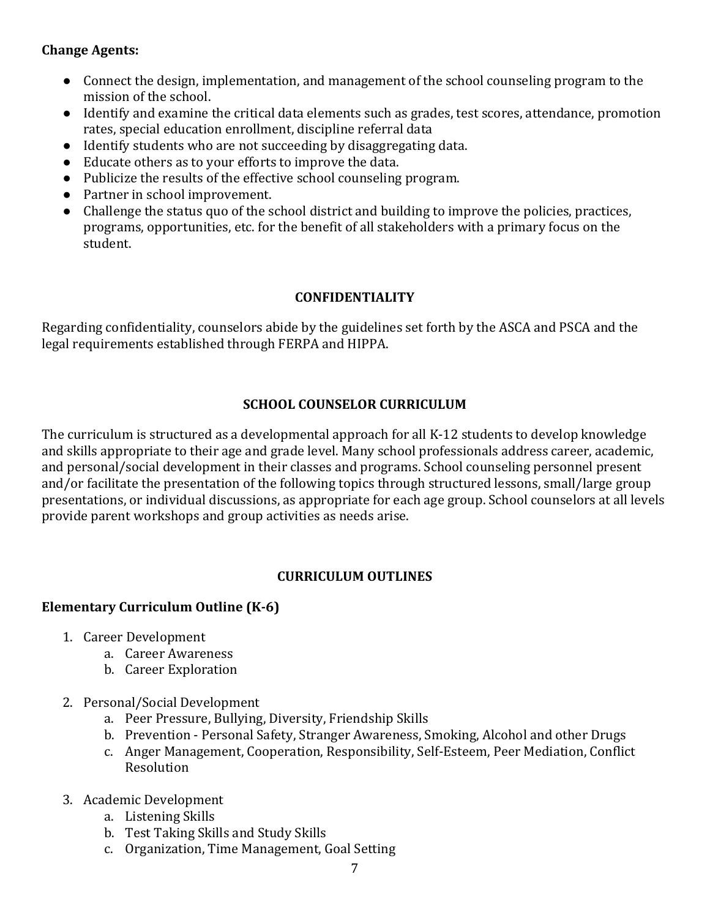### **Change Agents:**

- Connect the design, implementation, and management of the school counseling program to the mission of the school.
- $\bullet$  Identify and examine the critical data elements such as grades, test scores, attendance, promotion rates, special education enrollment, discipline referral data
- Identify students who are not succeeding by disaggregating data.
- Educate others as to your efforts to improve the data.
- Publicize the results of the effective school counseling program.
- Partner in school improvement.
- Challenge the status quo of the school district and building to improve the policies, practices, programs, opportunities, etc. for the benefit of all stakeholders with a primary focus on the student.

### **CONFIDENTIALITY**

Regarding confidentiality, counselors abide by the guidelines set forth by the ASCA and PSCA and the legal requirements established through FERPA and HIPPA.

### **SCHOOL COUNSELOR CURRICULUM**

The curriculum is structured as a developmental approach for all K-12 students to develop knowledge and skills appropriate to their age and grade level. Many school professionals address career, academic, and personal/social development in their classes and programs. School counseling personnel present and/or facilitate the presentation of the following topics through structured lessons, small/large group presentations, or individual discussions, as appropriate for each age group. School counselors at all levels provide parent workshops and group activities as needs arise.

# **CURRICULUM OUTLINES**

# **Elementary Curriculum Outline (K-6)**

- 1. Career Development
	- a. Career Awareness
	- b. Career Exploration
- 2. Personal/Social Development
	- a. Peer Pressure, Bullying, Diversity, Friendship Skills
	- b. Prevention Personal Safety, Stranger Awareness, Smoking, Alcohol and other Drugs
	- c. Anger Management, Cooperation, Responsibility, Self-Esteem, Peer Mediation, Conflict Resolution
- 3. Academic Development
	- a. Listening Skills
	- b. Test Taking Skills and Study Skills
	- c. Organization, Time Management, Goal Setting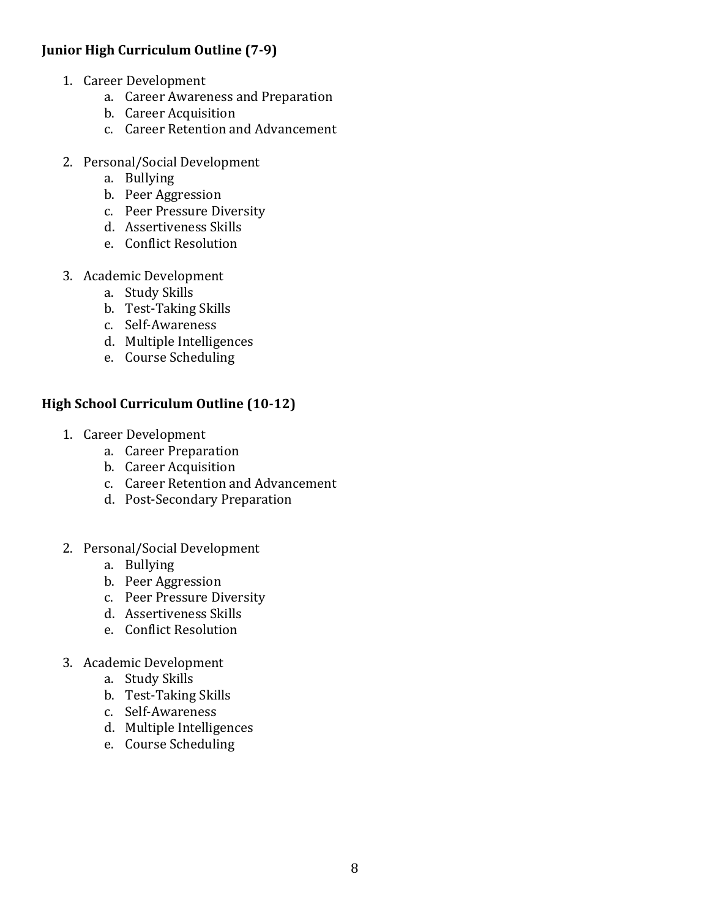### **Junior High Curriculum Outline (7-9)**

- 1. Career Development
	- a. Career Awareness and Preparation
	- b. Career Acquisition
	- c. Career Retention and Advancement
- 2. Personal/Social Development
	- a. Bullying
	- b. Peer Aggression
	- c. Peer Pressure Diversity
	- d. Assertiveness Skills
	- e. Conflict Resolution
- 3. Academic Development
	- a. Study Skills
	- b. Test-Taking Skills
	- c. Self-Awareness
	- d. Multiple Intelligences
	- e. Course Scheduling

### **High School Curriculum Outline (10-12)**

- 1. Career Development
	- a. Career Preparation
	- b. Career Acquisition
	- c. Career Retention and Advancement
	- d. Post-Secondary Preparation
- 2. Personal/Social Development
	- a. Bullying
	- b. Peer Aggression
	- c. Peer Pressure Diversity
	- d. Assertiveness Skills
	- e. Conflict Resolution
- 3. Academic Development
	- a. Study Skills
	- b. Test-Taking Skills
	- c. Self-Awareness
	- d. Multiple Intelligences
	- e. Course Scheduling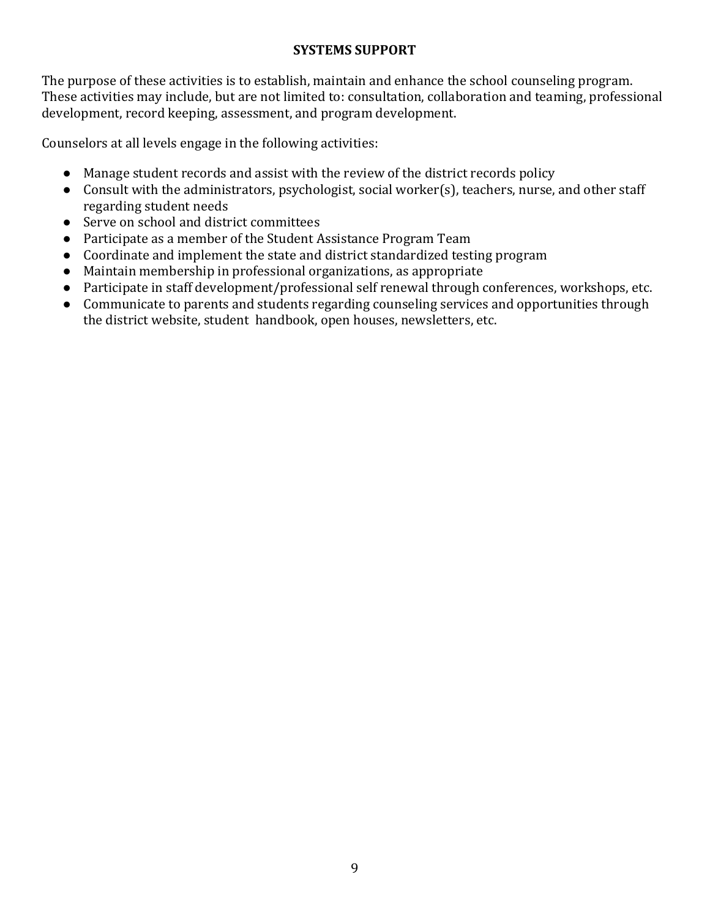### **SYSTEMS SUPPORT**

The purpose of these activities is to establish, maintain and enhance the school counseling program. These activities may include, but are not limited to: consultation, collaboration and teaming, professional development, record keeping, assessment, and program development.

Counselors at all levels engage in the following activities:

- Manage student records and assist with the review of the district records policy
- Consult with the administrators, psychologist, social worker(s), teachers, nurse, and other staff regarding student needs
- Serve on school and district committees
- Participate as a member of the Student Assistance Program Team
- Coordinate and implement the state and district standardized testing program
- $\bullet$  Maintain membership in professional organizations, as appropriate
- Participate in staff development/professional self renewal through conferences, workshops, etc.
- Communicate to parents and students regarding counseling services and opportunities through the district website, student handbook, open houses, newsletters, etc.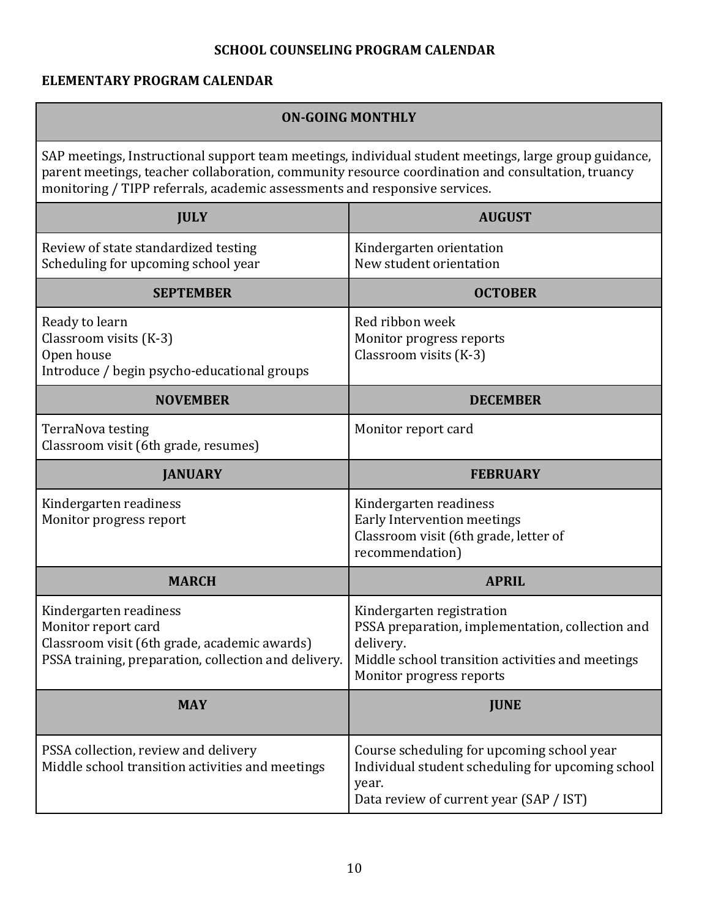# **SCHOOL COUNSELING PROGRAM CALENDAR**

# **ELEMENTARY PROGRAM CALENDAR**

| <b>ON-GOING MONTHLY</b>                                                                                                                                                                                                                                                                  |                                                                                                                                                                            |
|------------------------------------------------------------------------------------------------------------------------------------------------------------------------------------------------------------------------------------------------------------------------------------------|----------------------------------------------------------------------------------------------------------------------------------------------------------------------------|
| SAP meetings, Instructional support team meetings, individual student meetings, large group guidance,<br>parent meetings, teacher collaboration, community resource coordination and consultation, truancy<br>monitoring / TIPP referrals, academic assessments and responsive services. |                                                                                                                                                                            |
| <b>JULY</b>                                                                                                                                                                                                                                                                              | <b>AUGUST</b>                                                                                                                                                              |
| Review of state standardized testing<br>Scheduling for upcoming school year                                                                                                                                                                                                              | Kindergarten orientation<br>New student orientation                                                                                                                        |
| <b>SEPTEMBER</b>                                                                                                                                                                                                                                                                         | <b>OCTOBER</b>                                                                                                                                                             |
| Ready to learn<br>Classroom visits (K-3)<br>Open house<br>Introduce / begin psycho-educational groups                                                                                                                                                                                    | Red ribbon week<br>Monitor progress reports<br>Classroom visits (K-3)                                                                                                      |
| <b>NOVEMBER</b>                                                                                                                                                                                                                                                                          | <b>DECEMBER</b>                                                                                                                                                            |
| TerraNova testing<br>Classroom visit (6th grade, resumes)                                                                                                                                                                                                                                | Monitor report card                                                                                                                                                        |
| <b>JANUARY</b>                                                                                                                                                                                                                                                                           | <b>FEBRUARY</b>                                                                                                                                                            |
| Kindergarten readiness<br>Monitor progress report                                                                                                                                                                                                                                        | Kindergarten readiness<br>Early Intervention meetings<br>Classroom visit (6th grade, letter of<br>recommendation)                                                          |
| <b>MARCH</b>                                                                                                                                                                                                                                                                             | <b>APRIL</b>                                                                                                                                                               |
| Kindergarten readiness<br>Monitor report card<br>Classroom visit (6th grade, academic awards)<br>PSSA training, preparation, collection and delivery.                                                                                                                                    | Kindergarten registration<br>PSSA preparation, implementation, collection and<br>delivery.<br>Middle school transition activities and meetings<br>Monitor progress reports |
| <b>MAY</b>                                                                                                                                                                                                                                                                               | <b>JUNE</b>                                                                                                                                                                |
| PSSA collection, review and delivery<br>Middle school transition activities and meetings                                                                                                                                                                                                 | Course scheduling for upcoming school year<br>Individual student scheduling for upcoming school<br>year.<br>Data review of current year (SAP / IST)                        |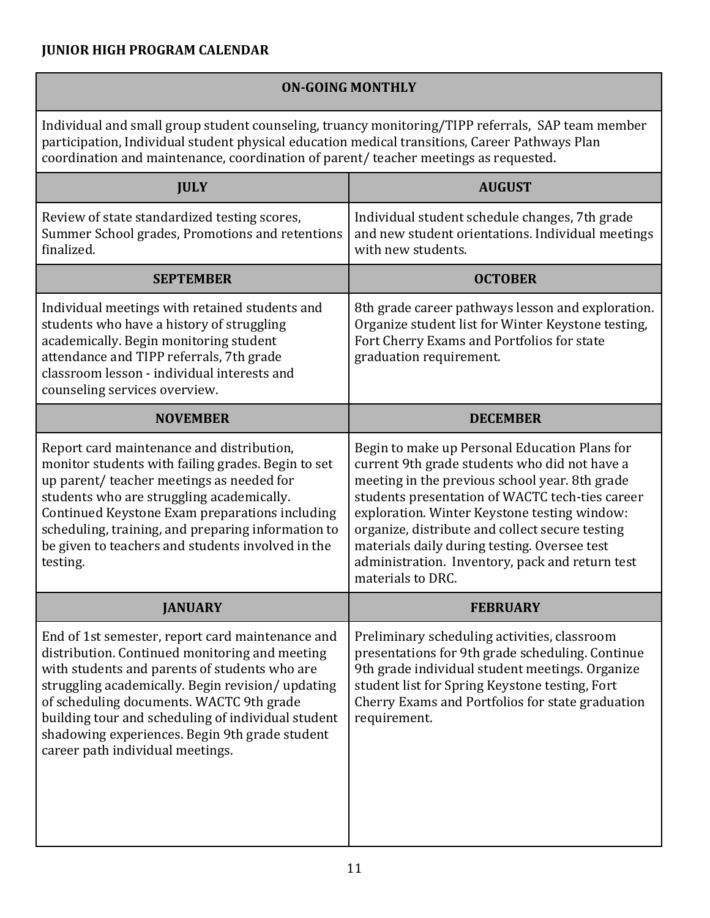### **JUNIOR HIGH PROGRAM CALENDAR**

# **ON-GOING MONTHLY**

Individual and small group student counseling, truancy monitoring/TIPP referrals, SAP team member participation, Individual student physical education medical transitions, Career Pathways Plan coordination and maintenance, coordination of parent/ teacher meetings as requested.

| <b>JULY</b>                                                                                                                                                                                                                                                                                                                                                                                     | <b>AUGUST</b>                                                                                                                                                                                                                                                                                                                                                                                                                  |
|-------------------------------------------------------------------------------------------------------------------------------------------------------------------------------------------------------------------------------------------------------------------------------------------------------------------------------------------------------------------------------------------------|--------------------------------------------------------------------------------------------------------------------------------------------------------------------------------------------------------------------------------------------------------------------------------------------------------------------------------------------------------------------------------------------------------------------------------|
| Review of state standardized testing scores,<br>Summer School grades, Promotions and retentions<br>finalized.                                                                                                                                                                                                                                                                                   | Individual student schedule changes, 7th grade<br>and new student orientations. Individual meetings<br>with new students.                                                                                                                                                                                                                                                                                                      |
| <b>SEPTEMBER</b>                                                                                                                                                                                                                                                                                                                                                                                | <b>OCTOBER</b>                                                                                                                                                                                                                                                                                                                                                                                                                 |
| Individual meetings with retained students and<br>students who have a history of struggling<br>academically. Begin monitoring student<br>attendance and TIPP referrals, 7th grade<br>classroom lesson - individual interests and<br>counseling services overview.                                                                                                                               | 8th grade career pathways lesson and exploration.<br>Organize student list for Winter Keystone testing,<br>Fort Cherry Exams and Portfolios for state<br>graduation requirement.                                                                                                                                                                                                                                               |
| <b>NOVEMBER</b>                                                                                                                                                                                                                                                                                                                                                                                 | <b>DECEMBER</b>                                                                                                                                                                                                                                                                                                                                                                                                                |
| Report card maintenance and distribution,<br>monitor students with failing grades. Begin to set<br>up parent/ teacher meetings as needed for<br>students who are struggling academically.<br>Continued Keystone Exam preparations including<br>scheduling, training, and preparing information to<br>be given to teachers and students involved in the<br>testing.                              | Begin to make up Personal Education Plans for<br>current 9th grade students who did not have a<br>meeting in the previous school year. 8th grade<br>students presentation of WACTC tech-ties career<br>exploration. Winter Keystone testing window:<br>organize, distribute and collect secure testing<br>materials daily during testing. Oversee test<br>administration. Inventory, pack and return test<br>materials to DRC. |
| <b>JANUARY</b>                                                                                                                                                                                                                                                                                                                                                                                  | <b>FEBRUARY</b>                                                                                                                                                                                                                                                                                                                                                                                                                |
| End of 1st semester, report card maintenance and<br>distribution. Continued monitoring and meeting<br>with students and parents of students who are<br>struggling academically. Begin revision/updating<br>of scheduling documents. WACTC 9th grade<br>building tour and scheduling of individual student<br>shadowing experiences. Begin 9th grade student<br>career path individual meetings. | Preliminary scheduling activities, classroom<br>presentations for 9th grade scheduling. Continue<br>9th grade individual student meetings. Organize<br>student list for Spring Keystone testing, Fort<br>Cherry Exams and Portfolios for state graduation<br>requirement.                                                                                                                                                      |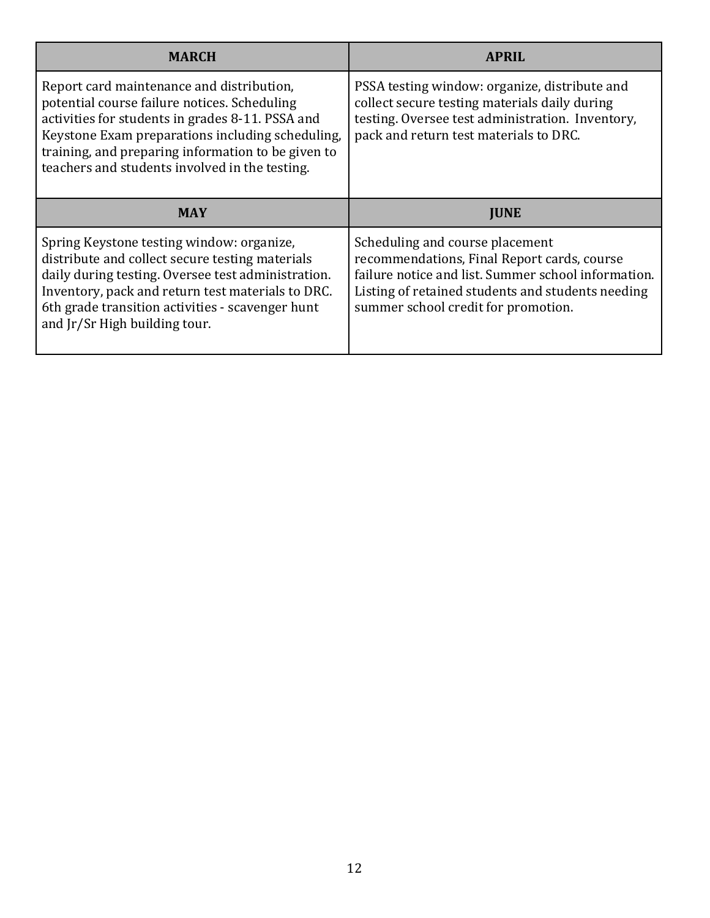| <b>MARCH</b>                                                                                                                                                                                                                                                                                              | <b>APRIL</b>                                                                                                                                                                                 |
|-----------------------------------------------------------------------------------------------------------------------------------------------------------------------------------------------------------------------------------------------------------------------------------------------------------|----------------------------------------------------------------------------------------------------------------------------------------------------------------------------------------------|
| Report card maintenance and distribution,<br>potential course failure notices. Scheduling<br>activities for students in grades 8-11. PSSA and<br>Keystone Exam preparations including scheduling,<br>training, and preparing information to be given to<br>teachers and students involved in the testing. | PSSA testing window: organize, distribute and<br>collect secure testing materials daily during<br>testing. Oversee test administration. Inventory,<br>pack and return test materials to DRC. |
| <b>MAY</b>                                                                                                                                                                                                                                                                                                | <b>IUNE</b>                                                                                                                                                                                  |
|                                                                                                                                                                                                                                                                                                           |                                                                                                                                                                                              |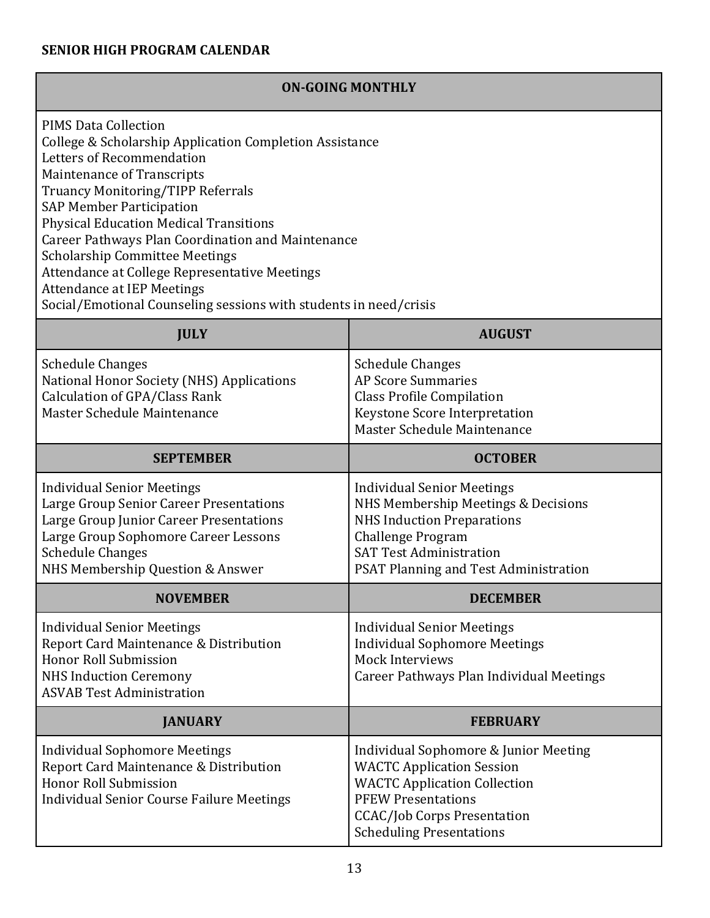# **SENIOR HIGH PROGRAM CALENDAR**

| <b>ON-GOING MONTHLY</b>                                                                                                                                                                                                                                                                                                                                                                                                                                                                                                                    |                                                                                                                                                                                                                        |  |
|--------------------------------------------------------------------------------------------------------------------------------------------------------------------------------------------------------------------------------------------------------------------------------------------------------------------------------------------------------------------------------------------------------------------------------------------------------------------------------------------------------------------------------------------|------------------------------------------------------------------------------------------------------------------------------------------------------------------------------------------------------------------------|--|
| <b>PIMS Data Collection</b><br>College & Scholarship Application Completion Assistance<br>Letters of Recommendation<br>Maintenance of Transcripts<br>Truancy Monitoring/TIPP Referrals<br><b>SAP Member Participation</b><br><b>Physical Education Medical Transitions</b><br><b>Career Pathways Plan Coordination and Maintenance</b><br><b>Scholarship Committee Meetings</b><br>Attendance at College Representative Meetings<br><b>Attendance at IEP Meetings</b><br>Social/Emotional Counseling sessions with students in need/crisis |                                                                                                                                                                                                                        |  |
| <b>JULY</b>                                                                                                                                                                                                                                                                                                                                                                                                                                                                                                                                | <b>AUGUST</b>                                                                                                                                                                                                          |  |
| <b>Schedule Changes</b><br>National Honor Society (NHS) Applications<br>Calculation of GPA/Class Rank<br>Master Schedule Maintenance                                                                                                                                                                                                                                                                                                                                                                                                       | <b>Schedule Changes</b><br><b>AP Score Summaries</b><br><b>Class Profile Compilation</b><br><b>Keystone Score Interpretation</b><br>Master Schedule Maintenance                                                        |  |
| <b>SEPTEMBER</b>                                                                                                                                                                                                                                                                                                                                                                                                                                                                                                                           | <b>OCTOBER</b>                                                                                                                                                                                                         |  |
| <b>Individual Senior Meetings</b><br>Large Group Senior Career Presentations<br>Large Group Junior Career Presentations<br>Large Group Sophomore Career Lessons<br><b>Schedule Changes</b><br>NHS Membership Question & Answer                                                                                                                                                                                                                                                                                                             | <b>Individual Senior Meetings</b><br>NHS Membership Meetings & Decisions<br><b>NHS Induction Preparations</b><br><b>Challenge Program</b><br><b>SAT Test Administration</b><br>PSAT Planning and Test Administration   |  |
| <b>NOVEMBER</b>                                                                                                                                                                                                                                                                                                                                                                                                                                                                                                                            | <b>DECEMBER</b>                                                                                                                                                                                                        |  |
| <b>Individual Senior Meetings</b><br>Report Card Maintenance & Distribution<br>Honor Roll Submission<br><b>NHS Induction Ceremony</b><br><b>ASVAB Test Administration</b>                                                                                                                                                                                                                                                                                                                                                                  | <b>Individual Senior Meetings</b><br><b>Individual Sophomore Meetings</b><br>Mock Interviews<br>Career Pathways Plan Individual Meetings                                                                               |  |
| <b>JANUARY</b><br><b>FEBRUARY</b>                                                                                                                                                                                                                                                                                                                                                                                                                                                                                                          |                                                                                                                                                                                                                        |  |
| <b>Individual Sophomore Meetings</b><br>Report Card Maintenance & Distribution<br>Honor Roll Submission<br><b>Individual Senior Course Failure Meetings</b>                                                                                                                                                                                                                                                                                                                                                                                | Individual Sophomore & Junior Meeting<br><b>WACTC Application Session</b><br><b>WACTC Application Collection</b><br><b>PFEW Presentations</b><br><b>CCAC/Job Corps Presentation</b><br><b>Scheduling Presentations</b> |  |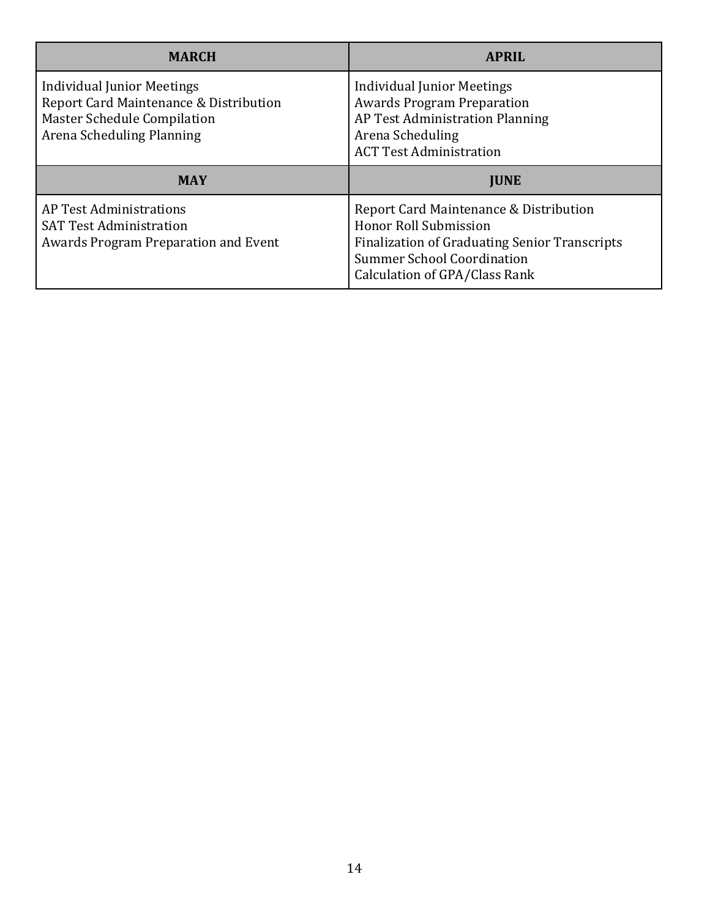| <b>MARCH</b>                                                                                                                                   | <b>APRIL</b>                                                                                                                                                    |
|------------------------------------------------------------------------------------------------------------------------------------------------|-----------------------------------------------------------------------------------------------------------------------------------------------------------------|
| <b>Individual Junior Meetings</b><br>Report Card Maintenance & Distribution<br><b>Master Schedule Compilation</b><br>Arena Scheduling Planning | <b>Individual Junior Meetings</b><br><b>Awards Program Preparation</b><br>AP Test Administration Planning<br>Arena Scheduling<br><b>ACT Test Administration</b> |
| <b>MAY</b>                                                                                                                                     | <b>JUNE</b>                                                                                                                                                     |
| AP Test Administrations<br><b>SAT Test Administration</b><br>Awards Program Preparation and Event                                              | Report Card Maintenance & Distribution<br>Honor Roll Submission<br><b>Finalization of Graduating Senior Transcripts</b>                                         |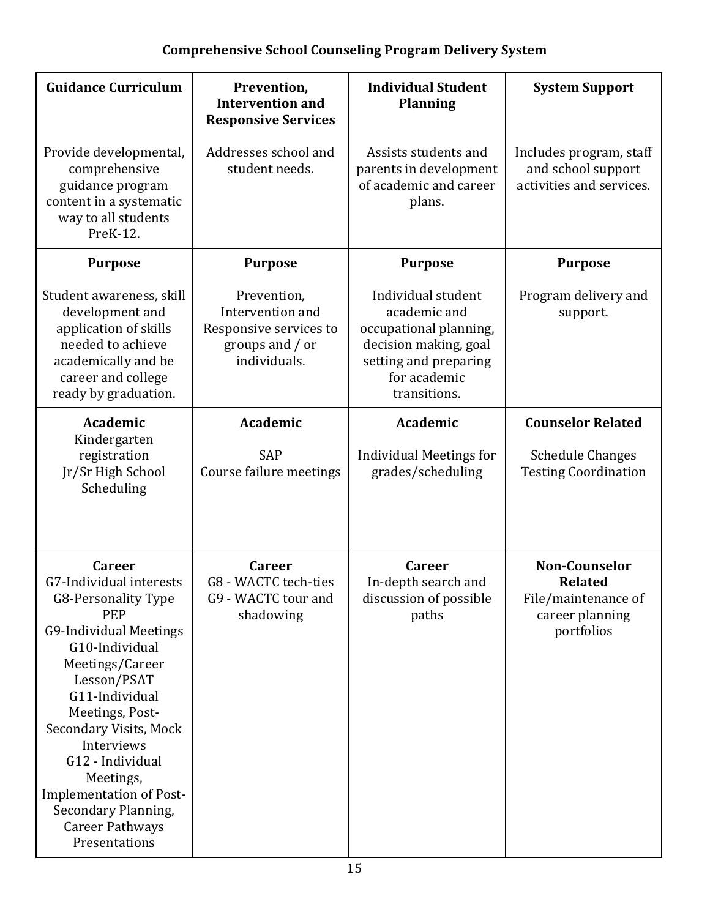# **Comprehensive School Counseling Program Delivery System**

| <b>Guidance Curriculum</b>                                                                                                                                                                                                                                                                                                                                                           | Prevention,<br><b>Intervention and</b><br><b>Responsive Services</b>                         | <b>Individual Student</b><br><b>Planning</b>                                                                                                   | <b>System Support</b>                                                                          |
|--------------------------------------------------------------------------------------------------------------------------------------------------------------------------------------------------------------------------------------------------------------------------------------------------------------------------------------------------------------------------------------|----------------------------------------------------------------------------------------------|------------------------------------------------------------------------------------------------------------------------------------------------|------------------------------------------------------------------------------------------------|
| Provide developmental,<br>comprehensive<br>guidance program<br>content in a systematic<br>way to all students<br>PreK-12.                                                                                                                                                                                                                                                            | Addresses school and<br>student needs.                                                       | Assists students and<br>parents in development<br>of academic and career<br>plans.                                                             | Includes program, staff<br>and school support<br>activities and services.                      |
| <b>Purpose</b>                                                                                                                                                                                                                                                                                                                                                                       | <b>Purpose</b>                                                                               | <b>Purpose</b>                                                                                                                                 | <b>Purpose</b>                                                                                 |
| Student awareness, skill<br>development and<br>application of skills<br>needed to achieve<br>academically and be<br>career and college<br>ready by graduation.                                                                                                                                                                                                                       | Prevention,<br>Intervention and<br>Responsive services to<br>groups and / or<br>individuals. | Individual student<br>academic and<br>occupational planning,<br>decision making, goal<br>setting and preparing<br>for academic<br>transitions. | Program delivery and<br>support.                                                               |
| Academic<br>Kindergarten                                                                                                                                                                                                                                                                                                                                                             | <b>Academic</b>                                                                              | Academic                                                                                                                                       | <b>Counselor Related</b>                                                                       |
| registration<br>Jr/Sr High School<br>Scheduling                                                                                                                                                                                                                                                                                                                                      | <b>SAP</b><br>Course failure meetings                                                        | <b>Individual Meetings for</b><br>grades/scheduling                                                                                            | <b>Schedule Changes</b><br><b>Testing Coordination</b>                                         |
| <b>Career</b><br>G7-Individual interests<br>G8-Personality Type<br><b>PEP</b><br><b>G9-Individual Meetings</b><br>G10-Individual<br>Meetings/Career<br>Lesson/PSAT<br>G11-Individual<br>Meetings, Post-<br>Secondary Visits, Mock<br>Interviews<br>G12 - Individual<br>Meetings,<br><b>Implementation of Post-</b><br>Secondary Planning,<br><b>Career Pathways</b><br>Presentations | <b>Career</b><br>G8 - WACTC tech-ties<br>G9 - WACTC tour and<br>shadowing                    | <b>Career</b><br>In-depth search and<br>discussion of possible<br>paths                                                                        | <b>Non-Counselor</b><br><b>Related</b><br>File/maintenance of<br>career planning<br>portfolios |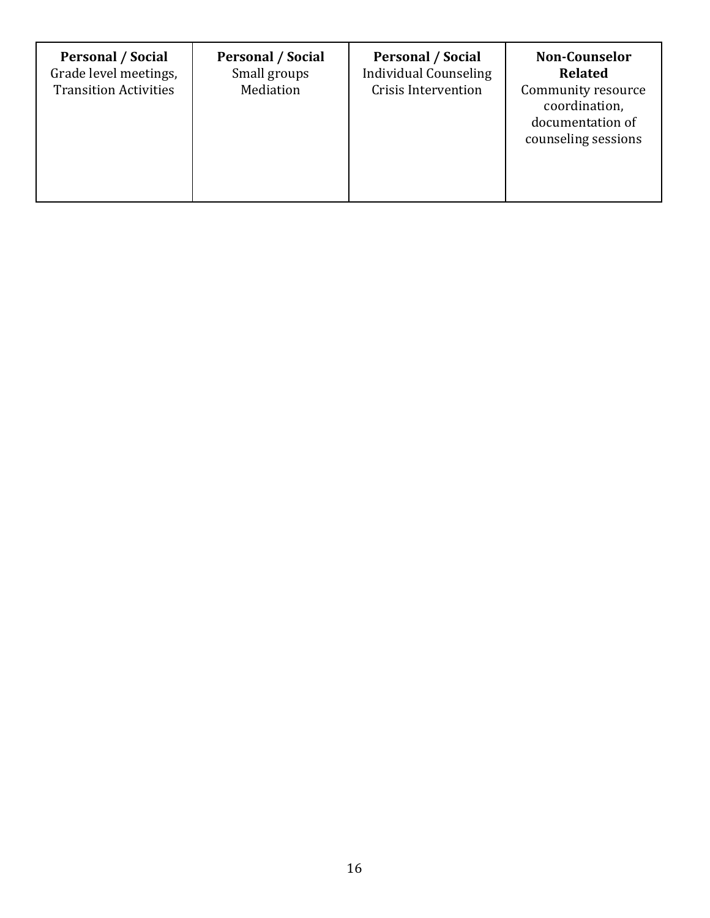| <b>Personal / Social</b><br>Grade level meetings,<br><b>Transition Activities</b> | <b>Personal / Social</b><br>Small groups<br>Mediation | <b>Personal / Social</b><br><b>Individual Counseling</b><br><b>Crisis Intervention</b> | <b>Non-Counselor</b><br><b>Related</b><br>Community resource<br>coordination,<br>documentation of<br>counseling sessions |
|-----------------------------------------------------------------------------------|-------------------------------------------------------|----------------------------------------------------------------------------------------|--------------------------------------------------------------------------------------------------------------------------|
|-----------------------------------------------------------------------------------|-------------------------------------------------------|----------------------------------------------------------------------------------------|--------------------------------------------------------------------------------------------------------------------------|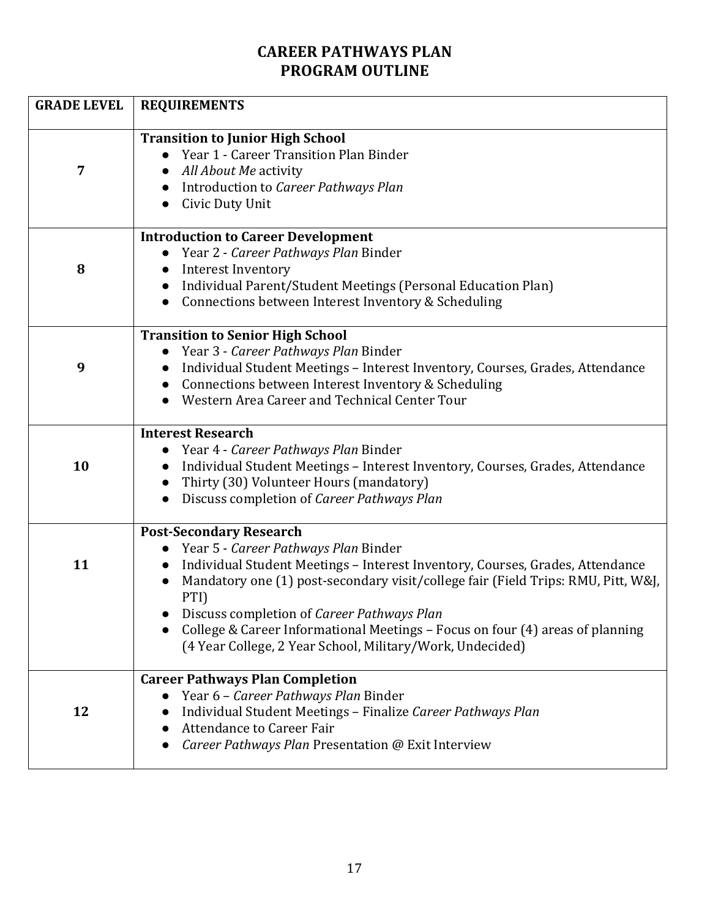# **CAREER PATHWAYS PLAN PROGRAM OUTLINE**

| <b>GRADE LEVEL</b> | <b>REQUIREMENTS</b>                                                                                                                                                                                                                                                                                                                                                                                                                              |
|--------------------|--------------------------------------------------------------------------------------------------------------------------------------------------------------------------------------------------------------------------------------------------------------------------------------------------------------------------------------------------------------------------------------------------------------------------------------------------|
| 7                  | <b>Transition to Junior High School</b><br>• Year 1 - Career Transition Plan Binder<br>• All About Me activity<br>Introduction to Career Pathways Plan<br>Civic Duty Unit                                                                                                                                                                                                                                                                        |
| 8                  | <b>Introduction to Career Development</b><br>Year 2 - Career Pathways Plan Binder<br><b>Interest Inventory</b><br>Individual Parent/Student Meetings (Personal Education Plan)<br>Connections between Interest Inventory & Scheduling                                                                                                                                                                                                            |
| 9                  | <b>Transition to Senior High School</b><br>Year 3 - Career Pathways Plan Binder<br>Individual Student Meetings - Interest Inventory, Courses, Grades, Attendance<br>Connections between Interest Inventory & Scheduling<br>Western Area Career and Technical Center Tour                                                                                                                                                                         |
| 10                 | <b>Interest Research</b><br>Year 4 - Career Pathways Plan Binder<br>Individual Student Meetings - Interest Inventory, Courses, Grades, Attendance<br>Thirty (30) Volunteer Hours (mandatory)<br>Discuss completion of Career Pathways Plan<br>$\bullet$                                                                                                                                                                                          |
| 11                 | <b>Post-Secondary Research</b><br>Year 5 - Career Pathways Plan Binder<br>Individual Student Meetings - Interest Inventory, Courses, Grades, Attendance<br>Mandatory one (1) post-secondary visit/college fair (Field Trips: RMU, Pitt, W&J,<br>PTI)<br>Discuss completion of Career Pathways Plan<br>College & Career Informational Meetings – Focus on four (4) areas of planning<br>(4 Year College, 2 Year School, Military/Work, Undecided) |
| 12                 | <b>Career Pathways Plan Completion</b><br>Year 6 - Career Pathways Plan Binder<br>Individual Student Meetings - Finalize Career Pathways Plan<br><b>Attendance to Career Fair</b><br>Career Pathways Plan Presentation @ Exit Interview                                                                                                                                                                                                          |